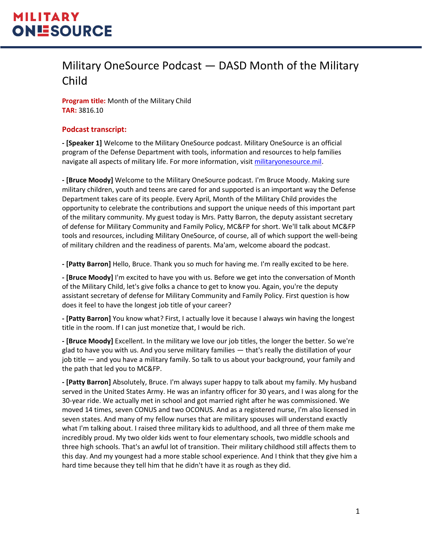#### Military OneSource Podcast — DASD Month of the Military Child

**Program title:** Month of the Military Child **TAR:** 3816.10

#### **Podcast transcript:**

**- [Speaker 1]** Welcome to the Military OneSource podcast. Military OneSource is an official program of the Defense Department with tools, information and resources to help families navigate all aspects of military life. For more information, visit [militaryonesource.mil.](file:///C:/Users/fpuckly/OneDrive%20-%20The%20Bowen%20Group/Desktop/Editing%20Tools,%20Templates/Templates/militaryonesource.mil)

**- [Bruce Moody]** Welcome to the Military OneSource podcast. I'm Bruce Moody. Making sure military children, youth and teens are cared for and supported is an important way the Defense Department takes care of its people. Every April, Month of the Military Child provides the opportunity to celebrate the contributions and support the unique needs of this important part of the military community. My guest today is Mrs. Patty Barron, the deputy assistant secretary of defense for Military Community and Family Policy, MC&FP for short. We'll talk about MC&FP tools and resources, including Military OneSource, of course, all of which support the well-being of military children and the readiness of parents. Ma'am, welcome aboard the podcast.

**- [Patty Barron]** Hello, Bruce. Thank you so much for having me. I'm really excited to be here.

**- [Bruce Moody]** I'm excited to have you with us. Before we get into the conversation of Month of the Military Child, let's give folks a chance to get to know you. Again, you're the deputy assistant secretary of defense for Military Community and Family Policy. First question is how does it feel to have the longest job title of your career?

**- [Patty Barron]** You know what? First, I actually love it because I always win having the longest title in the room. If I can just monetize that, I would be rich.

**- [Bruce Moody]** Excellent. In the military we love our job titles, the longer the better. So we're glad to have you with us. And you serve military families — that's really the distillation of your job title — and you have a military family. So talk to us about your background, your family and the path that led you to MC&FP.

**- [Patty Barron]** Absolutely, Bruce. I'm always super happy to talk about my family. My husband served in the United States Army. He was an infantry officer for 30 years, and I was along for the 30-year ride. We actually met in school and got married right after he was commissioned. We moved 14 times, seven CONUS and two OCONUS. And as a registered nurse, I'm also licensed in seven states. And many of my fellow nurses that are military spouses will understand exactly what I'm talking about. I raised three military kids to adulthood, and all three of them make me incredibly proud. My two older kids went to four elementary schools, two middle schools and three high schools. That's an awful lot of transition. Their military childhood still affects them to this day. And my youngest had a more stable school experience. And I think that they give him a hard time because they tell him that he didn't have it as rough as they did.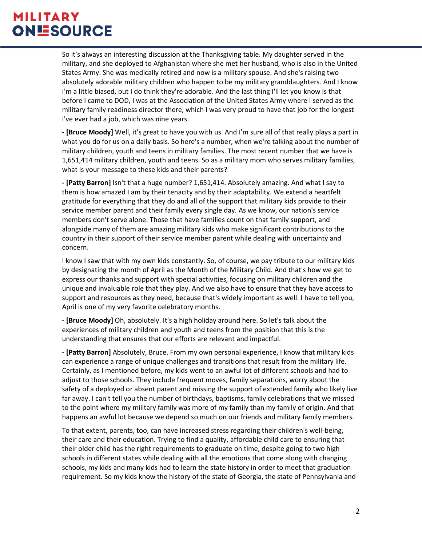So it's always an interesting discussion at the Thanksgiving table. My daughter served in the military, and she deployed to Afghanistan where she met her husband, who is also in the United States Army. She was medically retired and now is a military spouse. And she's raising two absolutely adorable military children who happen to be my military granddaughters. And I know I'm a little biased, but I do think they're adorable. And the last thing I'll let you know is that before I came to DOD, I was at the Association of the United States Army where I served as the military family readiness director there, which I was very proud to have that job for the longest I've ever had a job, which was nine years.

**- [Bruce Moody]** Well, it's great to have you with us. And I'm sure all of that really plays a part in what you do for us on a daily basis. So here's a number, when we're talking about the number of military children, youth and teens in military families. The most recent number that we have is 1,651,414 military children, youth and teens. So as a military mom who serves military families, what is your message to these kids and their parents?

**- [Patty Barron]** Isn't that a huge number? 1,651,414. Absolutely amazing. And what I say to them is how amazed I am by their tenacity and by their adaptability. We extend a heartfelt gratitude for everything that they do and all of the support that military kids provide to their service member parent and their family every single day. As we know, our nation's service members don't serve alone. Those that have families count on that family support, and alongside many of them are amazing military kids who make significant contributions to the country in their support of their service member parent while dealing with uncertainty and concern.

I know I saw that with my own kids constantly. So, of course, we pay tribute to our military kids by designating the month of April as the Month of the Military Child. And that's how we get to express our thanks and support with special activities, focusing on military children and the unique and invaluable role that they play. And we also have to ensure that they have access to support and resources as they need, because that's widely important as well. I have to tell you, April is one of my very favorite celebratory months.

**- [Bruce Moody]** Oh, absolutely. It's a high holiday around here. So let's talk about the experiences of military children and youth and teens from the position that this is the understanding that ensures that our efforts are relevant and impactful.

**- [Patty Barron]** Absolutely, Bruce. From my own personal experience, I know that military kids can experience a range of unique challenges and transitions that result from the military life. Certainly, as I mentioned before, my kids went to an awful lot of different schools and had to adjust to those schools. They include frequent moves, family separations, worry about the safety of a deployed or absent parent and missing the support of extended family who likely live far away. I can't tell you the number of birthdays, baptisms, family celebrations that we missed to the point where my military family was more of my family than my family of origin. And that happens an awful lot because we depend so much on our friends and military family members.

To that extent, parents, too, can have increased stress regarding their children's well-being, their care and their education. Trying to find a quality, affordable child care to ensuring that their older child has the right requirements to graduate on time, despite going to two high schools in different states while dealing with all the emotions that come along with changing schools, my kids and many kids had to learn the state history in order to meet that graduation requirement. So my kids know the history of the state of Georgia, the state of Pennsylvania and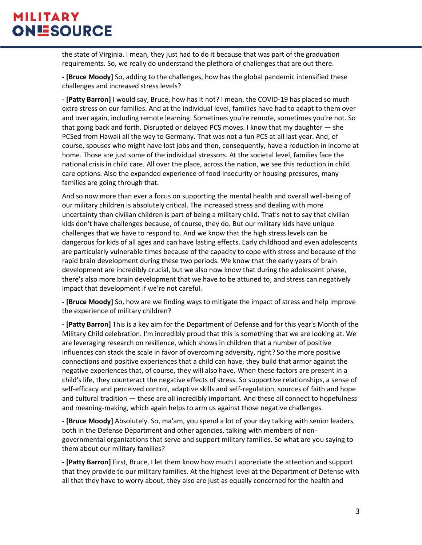the state of Virginia. I mean, they just had to do it because that was part of the graduation requirements. So, we really do understand the plethora of challenges that are out there.

**- [Bruce Moody]** So, adding to the challenges, how has the global pandemic intensified these challenges and increased stress levels?

**- [Patty Barron]** I would say, Bruce, how has it not? I mean, the COVID-19 has placed so much extra stress on our families. And at the individual level, families have had to adapt to them over and over again, including remote learning. Sometimes you're remote, sometimes you're not. So that going back and forth. Disrupted or delayed PCS moves. I know that my daughter — she PCSed from Hawaii all the way to Germany. That was not a fun PCS at all last year. And, of course, spouses who might have lost jobs and then, consequently, have a reduction in income at home. Those are just some of the individual stressors. At the societal level, families face the national crisis in child care. All over the place, across the nation, we see this reduction in child care options. Also the expanded experience of food insecurity or housing pressures, many families are going through that.

And so now more than ever a focus on supporting the mental health and overall well-being of our military children is absolutely critical. The increased stress and dealing with more uncertainty than civilian children is part of being a military child. That's not to say that civilian kids don't have challenges because, of course, they do. But our military kids have unique challenges that we have to respond to. And we know that the high stress levels can be dangerous for kids of all ages and can have lasting effects. Early childhood and even adolescents are particularly vulnerable times because of the capacity to cope with stress and because of the rapid brain development during these two periods. We know that the early years of brain development are incredibly crucial, but we also now know that during the adolescent phase, there's also more brain development that we have to be attuned to, and stress can negatively impact that development if we're not careful.

**- [Bruce Moody]** So, how are we finding ways to mitigate the impact of stress and help improve the experience of military children?

**- [Patty Barron]** This is a key aim for the Department of Defense and for this year's Month of the Military Child celebration. I'm incredibly proud that this is something that we are looking at. We are leveraging research on resilience, which shows in children that a number of positive influences can stack the scale in favor of overcoming adversity, right? So the more positive connections and positive experiences that a child can have, they build that armor against the negative experiences that, of course, they will also have. When these factors are present in a child's life, they counteract the negative effects of stress. So supportive relationships, a sense of self-efficacy and perceived control, adaptive skills and self-regulation, sources of faith and hope and cultural tradition — these are all incredibly important. And these all connect to hopefulness and meaning-making, which again helps to arm us against those negative challenges.

**- [Bruce Moody]** Absolutely. So, ma'am, you spend a lot of your day talking with senior leaders, both in the Defense Department and other agencies, talking with members of nongovernmental organizations that serve and support military families. So what are you saying to them about our military families?

**- [Patty Barron]** First, Bruce, I let them know how much I appreciate the attention and support that they provide to our military families. At the highest level at the Department of Defense with all that they have to worry about, they also are just as equally concerned for the health and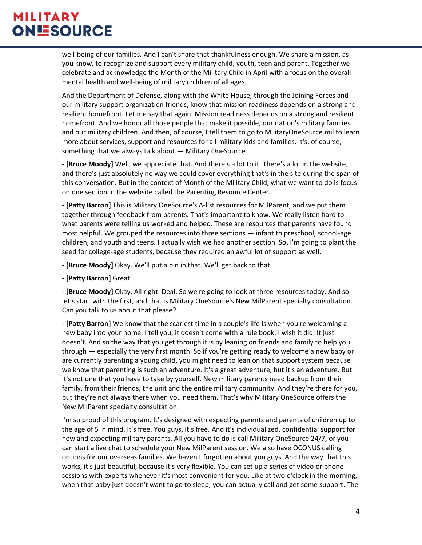well-being of our families. And I can't share that thankfulness enough. We share a mission, as you know, to recognize and support every military child, youth, teen and parent. Together we celebrate and acknowledge the Month of the Military Child in April with a focus on the overall mental health and well-being of military children of all ages.

And the Department of Defense, along with the White House, through the Joining Forces and our military support organization friends, know that mission readiness depends on a strong and resilient homefront. Let me say that again. Mission readiness depends on a strong and resilient homefront. And we honor all those people that make it possible, our nation's military families and our military children. And then, of course, I tell them to go to MilitaryOneSource.mil to learn more about services, support and resources for all military kids and families. It's, of course, something that we always talk about — Military OneSource.

**- [Bruce Moody]** Well, we appreciate that. And there's a lot to it. There's a lot in the website, and there's just absolutely no way we could cover everything that's in the site during the span of this conversation. But in the context of Month of the Military Child, what we want to do is focus on one section in the website called the Parenting Resource Center.

**- [Patty Barron]** This is Military OneSource's A-list resources for MilParent, and we put them together through feedback from parents. That's important to know. We really listen hard to what parents were telling us worked and helped. These are resources that parents have found most helpful. We grouped the resources into three sections — infant to preschool, school-age children, and youth and teens. I actually wish we had another section. So, I'm going to plant the seed for college-age students, because they required an awful lot of support as well.

**- [Bruce Moody]** Okay. We'll put a pin in that. We'll get back to that.

**- [Patty Barron]** Great.

**- [Bruce Moody]** Okay. All right. Deal. So we're going to look at three resources today. And so let's start with the first, and that is Military OneSource's New MilParent specialty consultation. Can you talk to us about that please?

**- [Patty Barron]** We know that the scariest time in a couple's life is when you're welcoming a new baby into your home. I tell you, it doesn't come with a rule book. I wish it did. It just doesn't. And so the way that you get through it is by leaning on friends and family to help you through — especially the very first month. So if you're getting ready to welcome a new baby or are currently parenting a young child, you might need to lean on that support system because we know that parenting is such an adventure. It's a great adventure, but it's an adventure. But it's not one that you have to take by yourself. New military parents need backup from their family, from their friends, the unit and the entire military community. And they're there for you, but they're not always there when you need them. That's why Military OneSource offers the New MilParent specialty consultation.

I'm so proud of this program. It's designed with expecting parents and parents of children up to the age of 5 in mind. It's free. You guys, it's free. And it's individualized, confidential support for new and expecting military parents. All you have to do is call Military OneSource 24/7, or you can start a live chat to schedule your New MilParent session. We also have OCONUS calling options for our overseas families. We haven't forgotten about you guys. And the way that this works, it's just beautiful, because it's very flexible. You can set up a series of video or phone sessions with experts whenever it's most convenient for you. Like at two o'clock in the morning, when that baby just doesn't want to go to sleep, you can actually call and get some support. The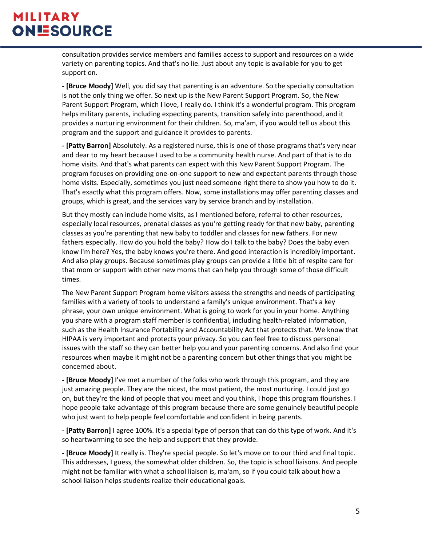consultation provides service members and families access to support and resources on a wide variety on parenting topics. And that's no lie. Just about any topic is available for you to get support on.

**- [Bruce Moody]** Well, you did say that parenting is an adventure. So the specialty consultation is not the only thing we offer. So next up is the New Parent Support Program. So, the New Parent Support Program, which I love, I really do. I think it's a wonderful program. This program helps military parents, including expecting parents, transition safely into parenthood, and it provides a nurturing environment for their children. So, ma'am, if you would tell us about this program and the support and guidance it provides to parents.

**- [Patty Barron]** Absolutely. As a registered nurse, this is one of those programs that's very near and dear to my heart because I used to be a community health nurse. And part of that is to do home visits. And that's what parents can expect with this New Parent Support Program. The program focuses on providing one-on-one support to new and expectant parents through those home visits. Especially, sometimes you just need someone right there to show you how to do it. That's exactly what this program offers. Now, some installations may offer parenting classes and groups, which is great, and the services vary by service branch and by installation.

But they mostly can include home visits, as I mentioned before, referral to other resources, especially local resources, prenatal classes as you're getting ready for that new baby, parenting classes as you're parenting that new baby to toddler and classes for new fathers. For new fathers especially. How do you hold the baby? How do I talk to the baby? Does the baby even know I'm here? Yes, the baby knows you're there. And good interaction is incredibly important. And also play groups. Because sometimes play groups can provide a little bit of respite care for that mom or support with other new moms that can help you through some of those difficult times.

The New Parent Support Program home visitors assess the strengths and needs of participating families with a variety of tools to understand a family's unique environment. That's a key phrase, your own unique environment. What is going to work for you in your home. Anything you share with a program staff member is confidential, including health-related information, such as the Health Insurance Portability and Accountability Act that protects that. We know that HIPAA is very important and protects your privacy. So you can feel free to discuss personal issues with the staff so they can better help you and your parenting concerns. And also find your resources when maybe it might not be a parenting concern but other things that you might be concerned about.

**- [Bruce Moody]** I've met a number of the folks who work through this program, and they are just amazing people. They are the nicest, the most patient, the most nurturing. I could just go on, but they're the kind of people that you meet and you think, I hope this program flourishes. I hope people take advantage of this program because there are some genuinely beautiful people who just want to help people feel comfortable and confident in being parents.

**- [Patty Barron]** I agree 100%. It's a special type of person that can do this type of work. And it's so heartwarming to see the help and support that they provide.

**- [Bruce Moody]** It really is. They're special people. So let's move on to our third and final topic. This addresses, I guess, the somewhat older children. So, the topic is school liaisons. And people might not be familiar with what a school liaison is, ma'am, so if you could talk about how a school liaison helps students realize their educational goals.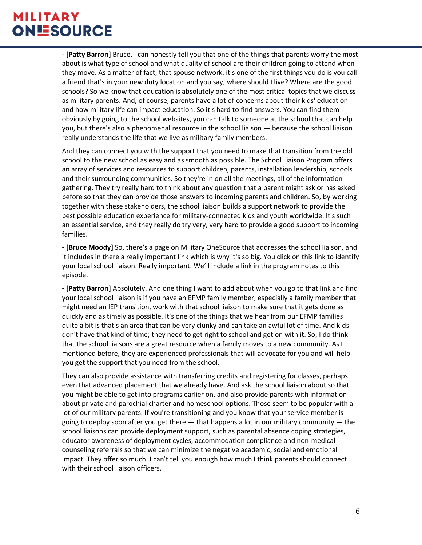**- [Patty Barron]** Bruce, I can honestly tell you that one of the things that parents worry the most about is what type of school and what quality of school are their children going to attend when they move. As a matter of fact, that spouse network, it's one of the first things you do is you call a friend that's in your new duty location and you say, where should I live? Where are the good schools? So we know that education is absolutely one of the most critical topics that we discuss as military parents. And, of course, parents have a lot of concerns about their kids' education and how military life can impact education. So it's hard to find answers. You can find them obviously by going to the school websites, you can talk to someone at the school that can help you, but there's also a phenomenal resource in the school liaison — because the school liaison really understands the life that we live as military family members.

And they can connect you with the support that you need to make that transition from the old school to the new school as easy and as smooth as possible. The School Liaison Program offers an array of services and resources to support children, parents, installation leadership, schools and their surrounding communities. So they're in on all the meetings, all of the information gathering. They try really hard to think about any question that a parent might ask or has asked before so that they can provide those answers to incoming parents and children. So, by working together with these stakeholders, the school liaison builds a support network to provide the best possible education experience for military-connected kids and youth worldwide. It's such an essential service, and they really do try very, very hard to provide a good support to incoming families.

**- [Bruce Moody]** So, there's a page on Military OneSource that addresses the school liaison, and it includes in there a really important link which is why it's so big. You click on this link to identify your local school liaison. Really important. We'll include a link in the program notes to this episode.

**- [Patty Barron]** Absolutely. And one thing I want to add about when you go to that link and find your local school liaison is if you have an EFMP family member, especially a family member that might need an IEP transition, work with that school liaison to make sure that it gets done as quickly and as timely as possible. It's one of the things that we hear from our EFMP families quite a bit is that's an area that can be very clunky and can take an awful lot of time. And kids don't have that kind of time; they need to get right to school and get on with it. So, I do think that the school liaisons are a great resource when a family moves to a new community. As I mentioned before, they are experienced professionals that will advocate for you and will help you get the support that you need from the school.

They can also provide assistance with transferring credits and registering for classes, perhaps even that advanced placement that we already have. And ask the school liaison about so that you might be able to get into programs earlier on, and also provide parents with information about private and parochial charter and homeschool options. Those seem to be popular with a lot of our military parents. If you're transitioning and you know that your service member is going to deploy soon after you get there  $-$  that happens a lot in our military community  $-$  the school liaisons can provide deployment support, such as parental absence coping strategies, educator awareness of deployment cycles, accommodation compliance and non-medical counseling referrals so that we can minimize the negative academic, social and emotional impact. They offer so much. I can't tell you enough how much I think parents should connect with their school liaison officers.